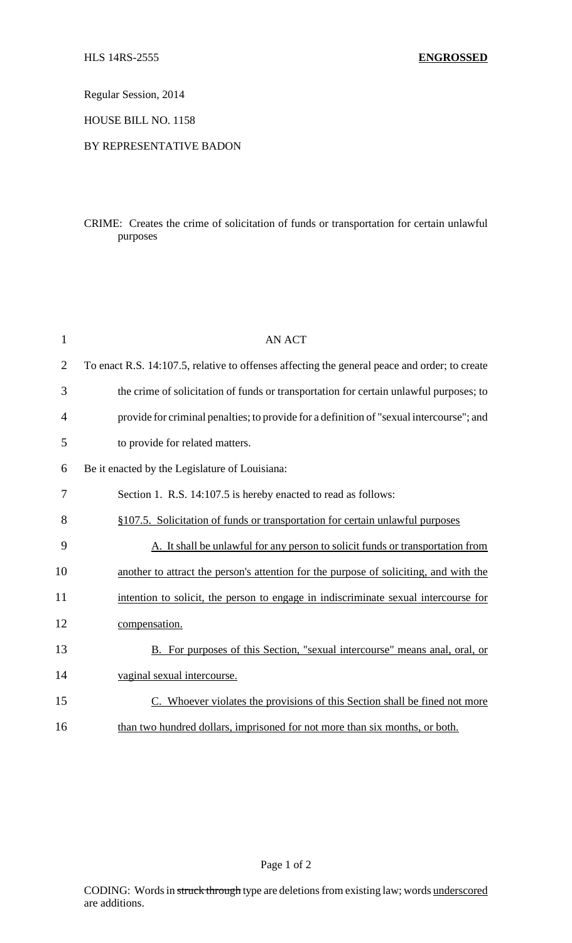Regular Session, 2014

HOUSE BILL NO. 1158

## BY REPRESENTATIVE BADON

## CRIME: Creates the crime of solicitation of funds or transportation for certain unlawful purposes

| $\mathbf{1}$   | <b>AN ACT</b>                                                                                 |
|----------------|-----------------------------------------------------------------------------------------------|
| $\overline{2}$ | To enact R.S. 14:107.5, relative to offenses affecting the general peace and order; to create |
| 3              | the crime of solicitation of funds or transportation for certain unlawful purposes; to        |
| 4              | provide for criminal penalties; to provide for a definition of "sexual intercourse"; and      |
| 5              | to provide for related matters.                                                               |
| 6              | Be it enacted by the Legislature of Louisiana:                                                |
| 7              | Section 1. R.S. 14:107.5 is hereby enacted to read as follows:                                |
| 8              | §107.5. Solicitation of funds or transportation for certain unlawful purposes                 |
| 9              | A. It shall be unlawful for any person to solicit funds or transportation from                |
| 10             | another to attract the person's attention for the purpose of soliciting, and with the         |
| 11             | intention to solicit, the person to engage in indiscriminate sexual intercourse for           |
| 12             | compensation.                                                                                 |
| 13             | B. For purposes of this Section, "sexual intercourse" means anal, oral, or                    |
| 14             | vaginal sexual intercourse.                                                                   |
| 15             | C. Whoever violates the provisions of this Section shall be fined not more                    |
| 16             | than two hundred dollars, imprisoned for not more than six months, or both.                   |

Page 1 of 2